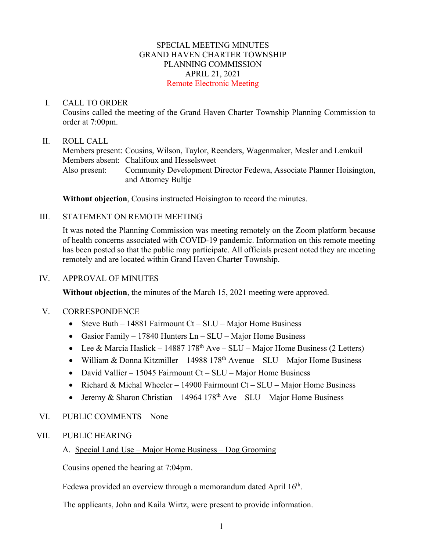## SPECIAL MEETING MINUTES GRAND HAVEN CHARTER TOWNSHIP PLANNING COMMISSION APRIL 21, 2021 Remote Electronic Meeting

#### I. CALL TO ORDER

Cousins called the meeting of the Grand Haven Charter Township Planning Commission to order at 7:00pm.

### II. ROLL CALL

Members present: Cousins, Wilson, Taylor, Reenders, Wagenmaker, Mesler and Lemkuil Members absent: Chalifoux and Hesselsweet Also present: Community Development Director Fedewa, Associate Planner Hoisington, and Attorney Bultje

**Without objection**, Cousins instructed Hoisington to record the minutes.

## III. STATEMENT ON REMOTE MEETING

It was noted the Planning Commission was meeting remotely on the Zoom platform because of health concerns associated with COVID-19 pandemic. Information on this remote meeting has been posted so that the public may participate. All officials present noted they are meeting remotely and are located within Grand Haven Charter Township.

#### IV. APPROVAL OF MINUTES

**Without objection**, the minutes of the March 15, 2021 meeting were approved.

#### V. CORRESPONDENCE

- Steve Buth 14881 Fairmount Ct SLU Major Home Business
- Gasior Family 17840 Hunters Ln SLU Major Home Business
- Lee & Marcia Haslick 14887 178<sup>th</sup> Ave SLU Major Home Business (2 Letters)
- William & Donna Kitzmiller 14988 178<sup>th</sup> Avenue SLU Major Home Business
- David Vallier 15045 Fairmount Ct SLU Major Home Business
- Richard & Michal Wheeler 14900 Fairmount Ct SLU Major Home Business
- Jeremy & Sharon Christian 14964 178<sup>th</sup> Ave SLU Major Home Business

## VI. PUBLIC COMMENTS – None

## VII. PUBLIC HEARING

## A. Special Land Use – Major Home Business – Dog Grooming

Cousins opened the hearing at 7:04pm.

Fedewa provided an overview through a memorandum dated April 16<sup>th</sup>.

The applicants, John and Kaila Wirtz, were present to provide information.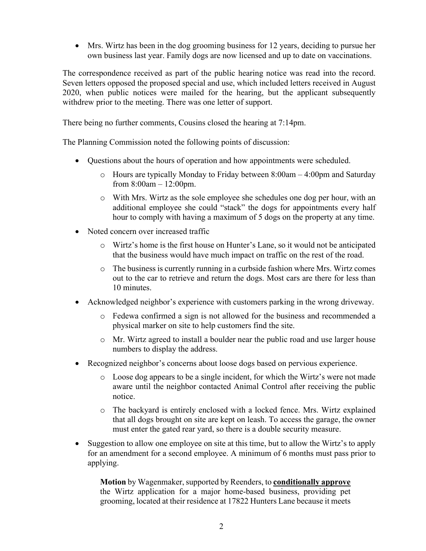• Mrs. Wirtz has been in the dog grooming business for 12 years, deciding to pursue her own business last year. Family dogs are now licensed and up to date on vaccinations.

The correspondence received as part of the public hearing notice was read into the record. Seven letters opposed the proposed special and use, which included letters received in August 2020, when public notices were mailed for the hearing, but the applicant subsequently withdrew prior to the meeting. There was one letter of support.

There being no further comments, Cousins closed the hearing at 7:14pm.

The Planning Commission noted the following points of discussion:

- Questions about the hours of operation and how appointments were scheduled.
	- o Hours are typically Monday to Friday between 8:00am 4:00pm and Saturday from 8:00am – 12:00pm.
	- o With Mrs. Wirtz as the sole employee she schedules one dog per hour, with an additional employee she could "stack" the dogs for appointments every half hour to comply with having a maximum of 5 dogs on the property at any time.
- Noted concern over increased traffic
	- o Wirtz's home is the first house on Hunter's Lane, so it would not be anticipated that the business would have much impact on traffic on the rest of the road.
	- $\circ$  The business is currently running in a curbside fashion where Mrs. Wirtz comes out to the car to retrieve and return the dogs. Most cars are there for less than 10 minutes.
- Acknowledged neighbor's experience with customers parking in the wrong driveway.
	- o Fedewa confirmed a sign is not allowed for the business and recommended a physical marker on site to help customers find the site.
	- o Mr. Wirtz agreed to install a boulder near the public road and use larger house numbers to display the address.
- Recognized neighbor's concerns about loose dogs based on pervious experience.
	- o Loose dog appears to be a single incident, for which the Wirtz's were not made aware until the neighbor contacted Animal Control after receiving the public notice.
	- o The backyard is entirely enclosed with a locked fence. Mrs. Wirtz explained that all dogs brought on site are kept on leash. To access the garage, the owner must enter the gated rear yard, so there is a double security measure.
- Suggestion to allow one employee on site at this time, but to allow the Wirtz's to apply for an amendment for a second employee. A minimum of 6 months must pass prior to applying.

**Motion** by Wagenmaker, supported by Reenders, to **conditionally approve** the Wirtz application for a major home-based business, providing pet grooming, located at their residence at 17822 Hunters Lane because it meets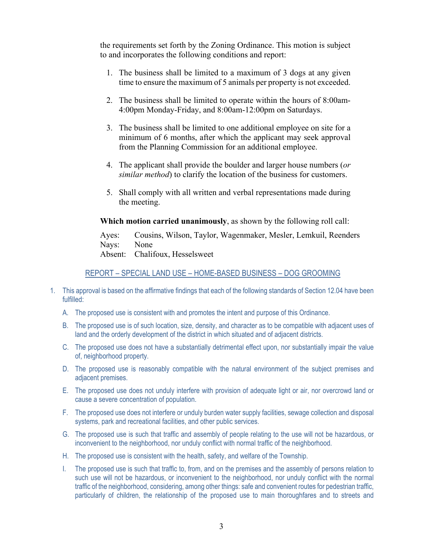the requirements set forth by the Zoning Ordinance. This motion is subject to and incorporates the following conditions and report:

- 1. The business shall be limited to a maximum of 3 dogs at any given time to ensure the maximum of 5 animals per property is not exceeded.
- 2. The business shall be limited to operate within the hours of 8:00am-4:00pm Monday-Friday, and 8:00am-12:00pm on Saturdays.
- 3. The business shall be limited to one additional employee on site for a minimum of 6 months, after which the applicant may seek approval from the Planning Commission for an additional employee.
- 4. The applicant shall provide the boulder and larger house numbers (*or similar method*) to clarify the location of the business for customers.
- 5. Shall comply with all written and verbal representations made during the meeting.

**Which motion carried unanimously**, as shown by the following roll call:

Ayes: Cousins, Wilson, Taylor, Wagenmaker, Mesler, Lemkuil, Reenders Nays: None Absent: Chalifoux, Hesselsweet

## REPORT – SPECIAL LAND USE – HOME-BASED BUSINESS – DOG GROOMING

- 1. This approval is based on the affirmative findings that each of the following standards of Section 12.04 have been fulfilled:
	- A. The proposed use is consistent with and promotes the intent and purpose of this Ordinance.
	- B. The proposed use is of such location, size, density, and character as to be compatible with adjacent uses of land and the orderly development of the district in which situated and of adjacent districts.
	- C. The proposed use does not have a substantially detrimental effect upon, nor substantially impair the value of, neighborhood property.
	- D. The proposed use is reasonably compatible with the natural environment of the subject premises and adjacent premises.
	- E. The proposed use does not unduly interfere with provision of adequate light or air, nor overcrowd land or cause a severe concentration of population.
	- F. The proposed use does not interfere or unduly burden water supply facilities, sewage collection and disposal systems, park and recreational facilities, and other public services.
	- G. The proposed use is such that traffic and assembly of people relating to the use will not be hazardous, or inconvenient to the neighborhood, nor unduly conflict with normal traffic of the neighborhood.
	- H. The proposed use is consistent with the health, safety, and welfare of the Township.
	- I. The proposed use is such that traffic to, from, and on the premises and the assembly of persons relation to such use will not be hazardous, or inconvenient to the neighborhood, nor unduly conflict with the normal traffic of the neighborhood, considering, among other things: safe and convenient routes for pedestrian traffic, particularly of children, the relationship of the proposed use to main thoroughfares and to streets and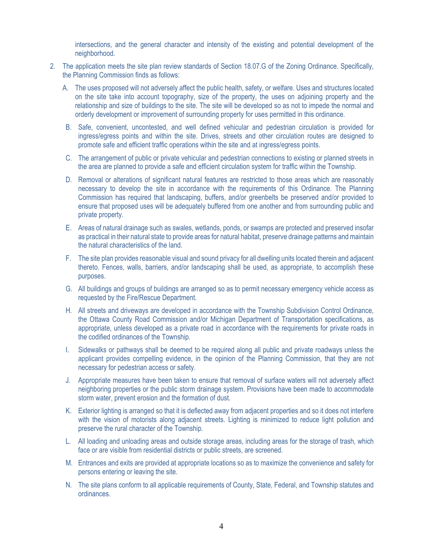intersections, and the general character and intensity of the existing and potential development of the neighborhood.

- 2. The application meets the site plan review standards of Section 18.07.G of the Zoning Ordinance. Specifically, the Planning Commission finds as follows:
	- A. The uses proposed will not adversely affect the public health, safety, or welfare. Uses and structures located on the site take into account topography, size of the property, the uses on adjoining property and the relationship and size of buildings to the site. The site will be developed so as not to impede the normal and orderly development or improvement of surrounding property for uses permitted in this ordinance.
	- B. Safe, convenient, uncontested, and well defined vehicular and pedestrian circulation is provided for ingress/egress points and within the site. Drives, streets and other circulation routes are designed to promote safe and efficient traffic operations within the site and at ingress/egress points.
	- C. The arrangement of public or private vehicular and pedestrian connections to existing or planned streets in the area are planned to provide a safe and efficient circulation system for traffic within the Township.
	- D. Removal or alterations of significant natural features are restricted to those areas which are reasonably necessary to develop the site in accordance with the requirements of this Ordinance. The Planning Commission has required that landscaping, buffers, and/or greenbelts be preserved and/or provided to ensure that proposed uses will be adequately buffered from one another and from surrounding public and private property.
	- E. Areas of natural drainage such as swales, wetlands, ponds, or swamps are protected and preserved insofar as practical in their natural state to provide areas for natural habitat, preserve drainage patterns and maintain the natural characteristics of the land.
	- F. The site plan provides reasonable visual and sound privacy for all dwelling units located therein and adjacent thereto. Fences, walls, barriers, and/or landscaping shall be used, as appropriate, to accomplish these purposes.
	- G. All buildings and groups of buildings are arranged so as to permit necessary emergency vehicle access as requested by the Fire/Rescue Department.
	- H. All streets and driveways are developed in accordance with the Township Subdivision Control Ordinance, the Ottawa County Road Commission and/or Michigan Department of Transportation specifications, as appropriate, unless developed as a private road in accordance with the requirements for private roads in the codified ordinances of the Township.
	- I. Sidewalks or pathways shall be deemed to be required along all public and private roadways unless the applicant provides compelling evidence, in the opinion of the Planning Commission, that they are not necessary for pedestrian access or safety.
	- J. Appropriate measures have been taken to ensure that removal of surface waters will not adversely affect neighboring properties or the public storm drainage system. Provisions have been made to accommodate storm water, prevent erosion and the formation of dust.
	- K. Exterior lighting is arranged so that it is deflected away from adjacent properties and so it does not interfere with the vision of motorists along adjacent streets. Lighting is minimized to reduce light pollution and preserve the rural character of the Township.
	- L. All loading and unloading areas and outside storage areas, including areas for the storage of trash, which face or are visible from residential districts or public streets, are screened.
	- M. Entrances and exits are provided at appropriate locations so as to maximize the convenience and safety for persons entering or leaving the site.
	- N. The site plans conform to all applicable requirements of County, State, Federal, and Township statutes and ordinances.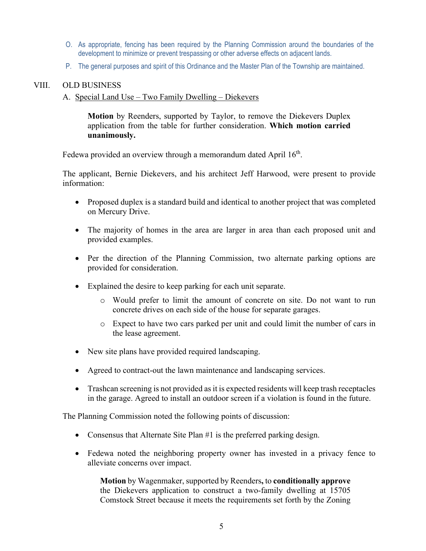- O. As appropriate, fencing has been required by the Planning Commission around the boundaries of the development to minimize or prevent trespassing or other adverse effects on adjacent lands.
- P. The general purposes and spirit of this Ordinance and the Master Plan of the Township are maintained.

## VIII. OLD BUSINESS

#### A. Special Land Use – Two Family Dwelling – Diekevers

**Motion** by Reenders, supported by Taylor, to remove the Diekevers Duplex application from the table for further consideration. **Which motion carried unanimously.**

Fedewa provided an overview through a memorandum dated April 16<sup>th</sup>.

The applicant, Bernie Diekevers, and his architect Jeff Harwood, were present to provide information:

- Proposed duplex is a standard build and identical to another project that was completed on Mercury Drive.
- The majority of homes in the area are larger in area than each proposed unit and provided examples.
- Per the direction of the Planning Commission, two alternate parking options are provided for consideration.
- Explained the desire to keep parking for each unit separate.
	- o Would prefer to limit the amount of concrete on site. Do not want to run concrete drives on each side of the house for separate garages.
	- o Expect to have two cars parked per unit and could limit the number of cars in the lease agreement.
- New site plans have provided required landscaping.
- Agreed to contract-out the lawn maintenance and landscaping services.
- Trashcan screening is not provided as it is expected residents will keep trash receptacles in the garage. Agreed to install an outdoor screen if a violation is found in the future.

The Planning Commission noted the following points of discussion:

- Consensus that Alternate Site Plan #1 is the preferred parking design.
- Fedewa noted the neighboring property owner has invested in a privacy fence to alleviate concerns over impact.

**Motion** by Wagenmaker, supported by Reenders**,** to **conditionally approve** the Diekevers application to construct a two-family dwelling at 15705 Comstock Street because it meets the requirements set forth by the Zoning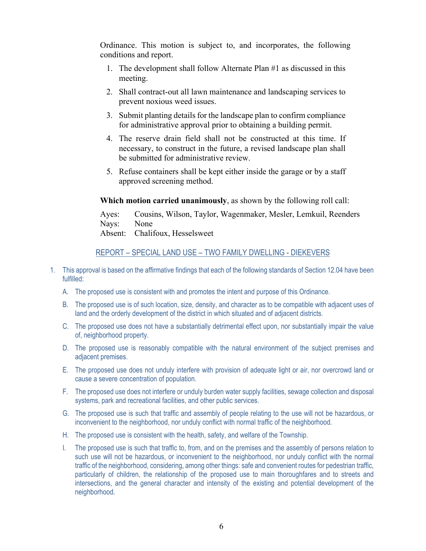Ordinance. This motion is subject to, and incorporates, the following conditions and report.

- 1. The development shall follow Alternate Plan #1 as discussed in this meeting.
- 2. Shall contract-out all lawn maintenance and landscaping services to prevent noxious weed issues.
- 3. Submit planting details for the landscape plan to confirm compliance for administrative approval prior to obtaining a building permit.
- 4. The reserve drain field shall not be constructed at this time. If necessary, to construct in the future, a revised landscape plan shall be submitted for administrative review.
- 5. Refuse containers shall be kept either inside the garage or by a staff approved screening method.

**Which motion carried unanimously**, as shown by the following roll call:

Ayes: Cousins, Wilson, Taylor, Wagenmaker, Mesler, Lemkuil, Reenders Nays: None

Absent: Chalifoux, Hesselsweet

# REPORT – SPECIAL LAND USE – TWO FAMILY DWELLING - DIEKEVERS

- 1. This approval is based on the affirmative findings that each of the following standards of Section 12.04 have been fulfilled:
	- A. The proposed use is consistent with and promotes the intent and purpose of this Ordinance.
	- B. The proposed use is of such location, size, density, and character as to be compatible with adjacent uses of land and the orderly development of the district in which situated and of adjacent districts.
	- C. The proposed use does not have a substantially detrimental effect upon, nor substantially impair the value of, neighborhood property.
	- D. The proposed use is reasonably compatible with the natural environment of the subject premises and adjacent premises.
	- E. The proposed use does not unduly interfere with provision of adequate light or air, nor overcrowd land or cause a severe concentration of population.
	- F. The proposed use does not interfere or unduly burden water supply facilities, sewage collection and disposal systems, park and recreational facilities, and other public services.
	- G. The proposed use is such that traffic and assembly of people relating to the use will not be hazardous, or inconvenient to the neighborhood, nor unduly conflict with normal traffic of the neighborhood.
	- H. The proposed use is consistent with the health, safety, and welfare of the Township.
	- I. The proposed use is such that traffic to, from, and on the premises and the assembly of persons relation to such use will not be hazardous, or inconvenient to the neighborhood, nor unduly conflict with the normal traffic of the neighborhood, considering, among other things: safe and convenient routes for pedestrian traffic, particularly of children, the relationship of the proposed use to main thoroughfares and to streets and intersections, and the general character and intensity of the existing and potential development of the neighborhood.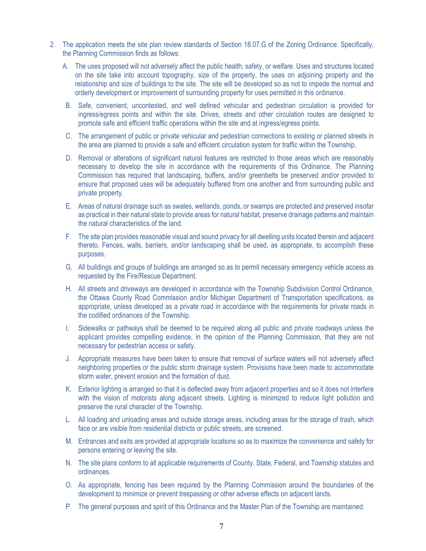- 2. The application meets the site plan review standards of Section 18.07.G of the Zoning Ordinance. Specifically, the Planning Commission finds as follows:
	- A. The uses proposed will not adversely affect the public health, safety, or welfare. Uses and structures located on the site take into account topography, size of the property, the uses on adjoining property and the relationship and size of buildings to the site. The site will be developed so as not to impede the normal and orderly development or improvement of surrounding property for uses permitted in this ordinance.
	- B. Safe, convenient, uncontested, and well defined vehicular and pedestrian circulation is provided for ingress/egress points and within the site. Drives, streets and other circulation routes are designed to promote safe and efficient traffic operations within the site and at ingress/egress points.
	- C. The arrangement of public or private vehicular and pedestrian connections to existing or planned streets in the area are planned to provide a safe and efficient circulation system for traffic within the Township.
	- D. Removal or alterations of significant natural features are restricted to those areas which are reasonably necessary to develop the site in accordance with the requirements of this Ordinance. The Planning Commission has required that landscaping, buffers, and/or greenbelts be preserved and/or provided to ensure that proposed uses will be adequately buffered from one another and from surrounding public and private property.
	- E. Areas of natural drainage such as swales, wetlands, ponds, or swamps are protected and preserved insofar as practical in their natural state to provide areas for natural habitat, preserve drainage patterns and maintain the natural characteristics of the land.
	- F. The site plan provides reasonable visual and sound privacy for all dwelling units located therein and adjacent thereto. Fences, walls, barriers, and/or landscaping shall be used, as appropriate, to accomplish these purposes.
	- G. All buildings and groups of buildings are arranged so as to permit necessary emergency vehicle access as requested by the Fire/Rescue Department.
	- H. All streets and driveways are developed in accordance with the Township Subdivision Control Ordinance, the Ottawa County Road Commission and/or Michigan Department of Transportation specifications, as appropriate, unless developed as a private road in accordance with the requirements for private roads in the codified ordinances of the Township.
	- I. Sidewalks or pathways shall be deemed to be required along all public and private roadways unless the applicant provides compelling evidence, in the opinion of the Planning Commission, that they are not necessary for pedestrian access or safety.
	- J. Appropriate measures have been taken to ensure that removal of surface waters will not adversely affect neighboring properties or the public storm drainage system. Provisions have been made to accommodate storm water, prevent erosion and the formation of dust.
	- K. Exterior lighting is arranged so that it is deflected away from adjacent properties and so it does not interfere with the vision of motorists along adjacent streets. Lighting is minimized to reduce light pollution and preserve the rural character of the Township.
	- L. All loading and unloading areas and outside storage areas, including areas for the storage of trash, which face or are visible from residential districts or public streets, are screened.
	- M. Entrances and exits are provided at appropriate locations so as to maximize the convenience and safety for persons entering or leaving the site.
	- N. The site plans conform to all applicable requirements of County, State, Federal, and Township statutes and ordinances.
	- O. As appropriate, fencing has been required by the Planning Commission around the boundaries of the development to minimize or prevent trespassing or other adverse effects on adjacent lands.
	- P. The general purposes and spirit of this Ordinance and the Master Plan of the Township are maintained.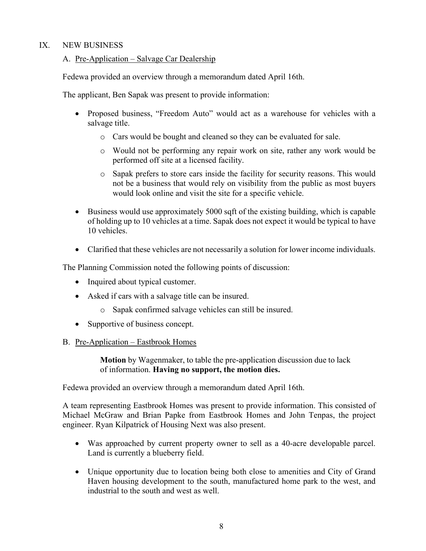## IX. NEW BUSINESS

# A. Pre-Application – Salvage Car Dealership

Fedewa provided an overview through a memorandum dated April 16th.

The applicant, Ben Sapak was present to provide information:

- Proposed business, "Freedom Auto" would act as a warehouse for vehicles with a salvage title.
	- o Cars would be bought and cleaned so they can be evaluated for sale.
	- o Would not be performing any repair work on site, rather any work would be performed off site at a licensed facility.
	- o Sapak prefers to store cars inside the facility for security reasons. This would not be a business that would rely on visibility from the public as most buyers would look online and visit the site for a specific vehicle.
- Business would use approximately 5000 sqft of the existing building, which is capable of holding up to 10 vehicles at a time. Sapak does not expect it would be typical to have 10 vehicles.
- Clarified that these vehicles are not necessarily a solution for lower income individuals.

The Planning Commission noted the following points of discussion:

- Inquired about typical customer.
- Asked if cars with a salvage title can be insured.
	- o Sapak confirmed salvage vehicles can still be insured.
- Supportive of business concept.

## B. Pre-Application – Eastbrook Homes

**Motion** by Wagenmaker, to table the pre-application discussion due to lack of information. **Having no support, the motion dies.**

Fedewa provided an overview through a memorandum dated April 16th.

A team representing Eastbrook Homes was present to provide information. This consisted of Michael McGraw and Brian Papke from Eastbrook Homes and John Tenpas, the project engineer. Ryan Kilpatrick of Housing Next was also present.

- Was approached by current property owner to sell as a 40-acre developable parcel. Land is currently a blueberry field.
- Unique opportunity due to location being both close to amenities and City of Grand Haven housing development to the south, manufactured home park to the west, and industrial to the south and west as well.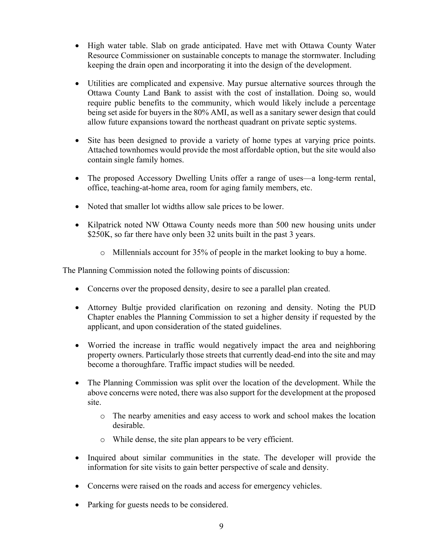- High water table. Slab on grade anticipated. Have met with Ottawa County Water Resource Commissioner on sustainable concepts to manage the stormwater. Including keeping the drain open and incorporating it into the design of the development.
- Utilities are complicated and expensive. May pursue alternative sources through the Ottawa County Land Bank to assist with the cost of installation. Doing so, would require public benefits to the community, which would likely include a percentage being set aside for buyers in the 80% AMI, as well as a sanitary sewer design that could allow future expansions toward the northeast quadrant on private septic systems.
- Site has been designed to provide a variety of home types at varying price points. Attached townhomes would provide the most affordable option, but the site would also contain single family homes.
- The proposed Accessory Dwelling Units offer a range of uses—a long-term rental, office, teaching-at-home area, room for aging family members, etc.
- Noted that smaller lot widths allow sale prices to be lower.
- Kilpatrick noted NW Ottawa County needs more than 500 new housing units under \$250K, so far there have only been 32 units built in the past 3 years.
	- o Millennials account for 35% of people in the market looking to buy a home.

The Planning Commission noted the following points of discussion:

- Concerns over the proposed density, desire to see a parallel plan created.
- Attorney Bultje provided clarification on rezoning and density. Noting the PUD Chapter enables the Planning Commission to set a higher density if requested by the applicant, and upon consideration of the stated guidelines.
- Worried the increase in traffic would negatively impact the area and neighboring property owners. Particularly those streets that currently dead-end into the site and may become a thoroughfare. Traffic impact studies will be needed.
- The Planning Commission was split over the location of the development. While the above concerns were noted, there was also support for the development at the proposed site.
	- o The nearby amenities and easy access to work and school makes the location desirable.
	- o While dense, the site plan appears to be very efficient.
- Inquired about similar communities in the state. The developer will provide the information for site visits to gain better perspective of scale and density.
- Concerns were raised on the roads and access for emergency vehicles.
- Parking for guests needs to be considered.